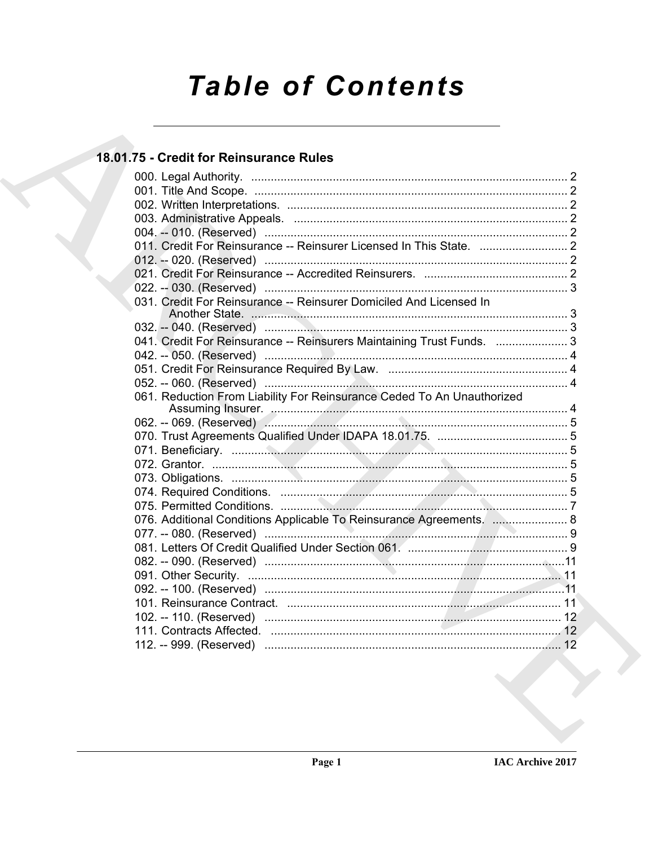# **Table of Contents**

### 18.01.75 - Credit for Reinsurance Rules

| 031. Credit For Reinsurance -- Reinsurer Domiciled And Licensed In     |  |
|------------------------------------------------------------------------|--|
|                                                                        |  |
| 041. Credit For Reinsurance -- Reinsurers Maintaining Trust Funds.  3  |  |
|                                                                        |  |
|                                                                        |  |
|                                                                        |  |
| 061. Reduction From Liability For Reinsurance Ceded To An Unauthorized |  |
|                                                                        |  |
|                                                                        |  |
|                                                                        |  |
|                                                                        |  |
|                                                                        |  |
|                                                                        |  |
|                                                                        |  |
|                                                                        |  |
| 076. Additional Conditions Applicable To Reinsurance Agreements.  8    |  |
|                                                                        |  |
|                                                                        |  |
|                                                                        |  |
|                                                                        |  |
|                                                                        |  |
|                                                                        |  |
|                                                                        |  |
|                                                                        |  |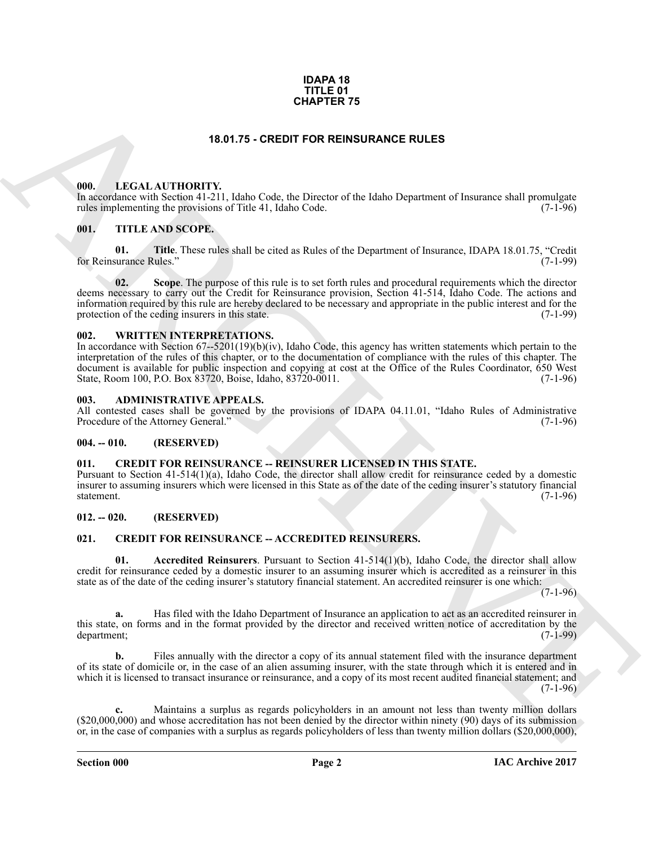#### **IDAPA 18 TITLE 01 CHAPTER 75**

#### **18.01.75 - CREDIT FOR REINSURANCE RULES**

#### <span id="page-1-1"></span><span id="page-1-0"></span>**000. LEGAL AUTHORITY.**

In accordance with Section 41-211, Idaho Code, the Director of the Idaho Department of Insurance shall promulgate rules implementing the provisions of Title 41, Idaho Code. (7-1-96) rules implementing the provisions of Title 41, Idaho Code.

#### <span id="page-1-2"></span>**001. TITLE AND SCOPE.**

**01. Title**. These rules shall be cited as Rules of the Department of Insurance, IDAPA 18.01.75, "Credit surance Rules." (7-1-99) for Reinsurance Rules."

**CHAPTER 75**<br>
18.01.75 - **CREDT FOR REINSURANCE RULES**<br>
18.01.75 - **CREDT FOR REINSURANCE RULES**<br>
18.1 - LETTLE AND SCOPE.<br>
18.1 - TTTLE AND SCOPE.<br>
18.1 - TTTLE AND SCOPE.<br>
18.1 - TTTLE AND SCOPE.<br>
18.1 - TTTLE AND SCOPE **02. Scope**. The purpose of this rule is to set forth rules and procedural requirements which the director deems necessary to carry out the Credit for Reinsurance provision, Section 41-514, Idaho Code. The actions and information required by this rule are hereby declared to be necessary and appropriate in the public interest and for the protection of the ceding insurers in this state. (7-1-99)

#### <span id="page-1-3"></span>**002. WRITTEN INTERPRETATIONS.**

In accordance with Section  $67-5201(19)(b)(iv)$ , Idaho Code, this agency has written statements which pertain to the interpretation of the rules of this chapter, or to the documentation of compliance with the rules of this chapter. The document is available for public inspection and copying at cost at the Office of the Rules Coordinator, 650 West State, Room 100, P.O. Box 83720, Boise, Idaho, 83720-0011. (7-1-96) State, Room 100, P.O. Box 83720, Boise, Idaho, 83720-0011.

#### <span id="page-1-4"></span>**003. ADMINISTRATIVE APPEALS.**

All contested cases shall be governed by the provisions of IDAPA 04.11.01, "Idaho Rules of Administrative Procedure of the Attorney General." (7-1-96) Procedure of the Attorney General."

#### <span id="page-1-5"></span>**004. -- 010. (RESERVED)**

#### <span id="page-1-11"></span><span id="page-1-6"></span>**011. CREDIT FOR REINSURANCE -- REINSURER LICENSED IN THIS STATE.**

Pursuant to Section 41-514(1)(a), Idaho Code, the director shall allow credit for reinsurance ceded by a domestic insurer to assuming insurers which were licensed in this State as of the date of the ceding insurer's statutory financial statement. (7-1-96)

#### <span id="page-1-7"></span>**012. -- 020. (RESERVED)**

#### <span id="page-1-9"></span><span id="page-1-8"></span>**021. CREDIT FOR REINSURANCE -- ACCREDITED REINSURERS.**

<span id="page-1-10"></span>**01. Accredited Reinsurers**. Pursuant to Section 41-514(1)(b), Idaho Code, the director shall allow credit for reinsurance ceded by a domestic insurer to an assuming insurer which is accredited as a reinsurer in this state as of the date of the ceding insurer's statutory financial statement. An accredited reinsurer is one which:

 $(7-1-96)$ 

**a.** Has filed with the Idaho Department of Insurance an application to act as an accredited reinsurer in this state, on forms and in the format provided by the director and received written notice of accreditation by the department; (7-1-99) department; (7-1-99)

**b.** Files annually with the director a copy of its annual statement filed with the insurance department of its state of domicile or, in the case of an alien assuming insurer, with the state through which it is entered and in which it is licensed to transact insurance or reinsurance, and a copy of its most recent audited financial statement; and  $(7-1-96)$ 

**c.** Maintains a surplus as regards policyholders in an amount not less than twenty million dollars (\$20,000,000) and whose accreditation has not been denied by the director within ninety (90) days of its submission or, in the case of companies with a surplus as regards policyholders of less than twenty million dollars (\$20,000,000),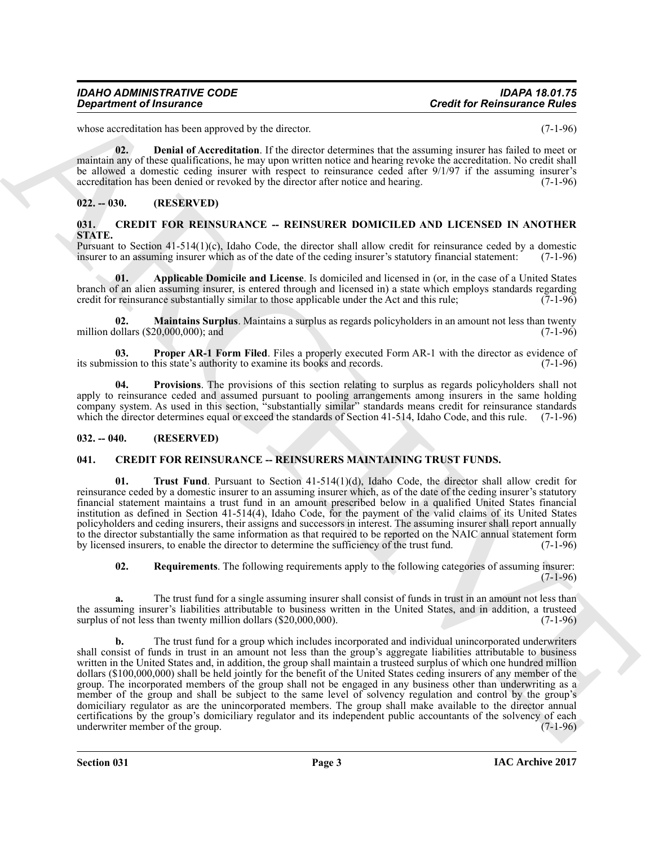whose accreditation has been approved by the director. (7-1-96)

<span id="page-2-4"></span>**02. Denial of Accreditation**. If the director determines that the assuming insurer has failed to meet or maintain any of these qualifications, he may upon written notice and hearing revoke the accreditation. No credit shall be allowed a domestic ceding insurer with respect to reinsurance ceded after 9/1/97 if the assuming insurer's accreditation has been denied or revoked by the director after notice and hearing. (7-1-96)

#### <span id="page-2-0"></span>**022. -- 030. (RESERVED)**

#### <span id="page-2-5"></span><span id="page-2-1"></span>**031. CREDIT FOR REINSURANCE -- REINSURER DOMICILED AND LICENSED IN ANOTHER STATE.**

Pursuant to Section 41-514(1)(c), Idaho Code, the director shall allow credit for reinsurance ceded by a domestic insurer to an assuming insurer which as of the date of the ceding insurer's statutory financial statement: ( insurer to an assuming insurer which as of the date of the ceding insurer's statutory financial statement:

<span id="page-2-6"></span>**01. Applicable Domicile and License**. Is domiciled and licensed in (or, in the case of a United States branch of an alien assuming insurer, is entered through and licensed in) a state which employs standards regarding credit for reinsurance substantially similar to those applicable under the Act and this rule; (7-1-96) credit for reinsurance substantially similar to those applicable under the Act and this rule;

<span id="page-2-7"></span>**02. Maintains Surplus**. Maintains a surplus as regards policyholders in an amount not less than twenty ollars (\$20,000,000): and (7-1-96) million dollars  $(\$20,000,000)$ ; and

<span id="page-2-8"></span>**03. Proper AR-1 Form Filed**. Files a properly executed Form AR-1 with the director as evidence of ssion to this state's authority to examine its books and records. (7-1-96) its submission to this state's authority to examine its books and records.

<span id="page-2-9"></span>**04. Provisions**. The provisions of this section relating to surplus as regards policyholders shall not apply to reinsurance ceded and assumed pursuant to pooling arrangements among insurers in the same holding company system. As used in this section, "substantially similar" standards means credit for reinsurance standards which the director determines equal or exceed the standards of Section 41-514, Idaho Code, and this rule. (7-1-96)

#### <span id="page-2-2"></span>**032. -- 040. (RESERVED)**

#### <span id="page-2-10"></span><span id="page-2-3"></span>**041. CREDIT FOR REINSURANCE -- REINSURERS MAINTAINING TRUST FUNDS.**

<span id="page-2-12"></span>**01. Trust Fund**. Pursuant to Section 41-514(1)(d), Idaho Code, the director shall allow credit for reinsurance ceded by a domestic insurer to an assuming insurer which, as of the date of the ceding insurer's statutory financial statement maintains a trust fund in an amount prescribed below in a qualified United States financial institution as defined in Section 41-514(4), Idaho Code, for the payment of the valid claims of its United States policyholders and ceding insurers, their assigns and successors in interest. The assuming insurer shall report annually to the director substantially the same information as that required to be reported on the NAIC annual statement form<br>by licensed insurers, to enable the director to determine the sufficiency of the trust fund. (7-1-96) by licensed insurers, to enable the director to determine the sufficiency of the trust fund.

<span id="page-2-11"></span>**02. Requirements**. The following requirements apply to the following categories of assuming insurer: (7-1-96)

**a.** The trust fund for a single assuming insurer shall consist of funds in trust in an amount not less than the assuming insurer's liabilities attributable to business written in the United States, and in addition, a trusteed surplus of not less than twenty million dollars (\$20,000,000). surplus of not less than twenty million dollars  $(\$20,000,000)$ .

**Creative of the second state of the second state.** Creative and the second state and the second state of the second state of the second state of the second state of the second state of the second state of the second stat **b.** The trust fund for a group which includes incorporated and individual unincorporated underwriters shall consist of funds in trust in an amount not less than the group's aggregate liabilities attributable to business written in the United States and, in addition, the group shall maintain a trusteed surplus of which one hundred million dollars (\$100,000,000) shall be held jointly for the benefit of the United States ceding insurers of any member of the group. The incorporated members of the group shall not be engaged in any business other than underwriting as a member of the group and shall be subject to the same level of solvency regulation and control by the group's domiciliary regulator as are the unincorporated members. The group shall make available to the director annual certifications by the group's domiciliary regulator and its independent public accountants of the solvency of each underwriter member of the group.

**Section 031 Page 3**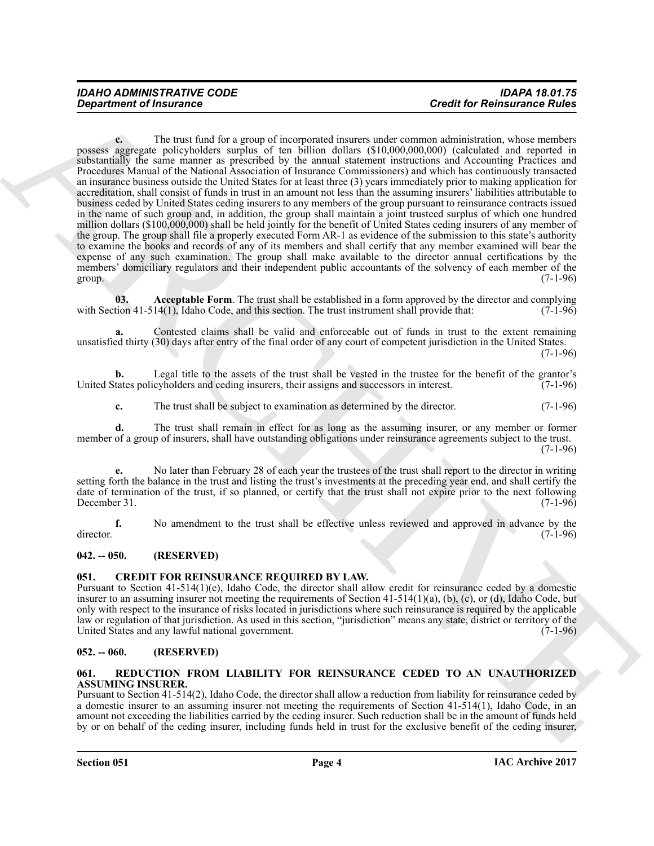**Creative of functions** of the text share of the same of the same intervention in the test share and the same of the same of the same of the same of the same of the same of the same of the same of the same of the same of **c.** The trust fund for a group of incorporated insurers under common administration, whose members possess aggregate policyholders surplus of ten billion dollars (\$10,000,000,000) (calculated and reported in substantially the same manner as prescribed by the annual statement instructions and Accounting Practices and Procedures Manual of the National Association of Insurance Commissioners) and which has continuously transacted an insurance business outside the United States for at least three (3) years immediately prior to making application for accreditation, shall consist of funds in trust in an amount not less than the assuming insurers' liabilities attributable to business ceded by United States ceding insurers to any members of the group pursuant to reinsurance contracts issued in the name of such group and, in addition, the group shall maintain a joint trusteed surplus of which one hundred million dollars (\$100,000,000) shall be held jointly for the benefit of United States ceding insurers of any member of the group. The group shall file a properly executed Form AR-1 as evidence of the submission to this state's authority to examine the books and records of any of its members and shall certify that any member examined will bear the expense of any such examination. The group shall make available to the director annual certifications by the members' domiciliary regulators and their independent public accountants of the solvency of each member of the group.  $(7-1-96)$ 

<span id="page-3-4"></span>**03.** Acceptable Form. The trust shall be established in a form approved by the director and complying tion 41-514(1), Idaho Code, and this section. The trust instrument shall provide that: (7-1-96) with Section  $41-514(1)$ , Idaho Code, and this section. The trust instrument shall provide that:

**a.** Contested claims shall be valid and enforceable out of funds in trust to the extent remaining unsatisfied thirty (30) days after entry of the final order of any court of competent jurisdiction in the United States.

(7-1-96)

**b.** Legal title to the assets of the trust shall be vested in the trustee for the benefit of the grantor's United States policyholders and ceding insurers, their assigns and successors in interest. (7-1-96)

**c.** The trust shall be subject to examination as determined by the director. (7-1-96)

**d.** The trust shall remain in effect for as long as the assuming insurer, or any member or former member of a group of insurers, shall have outstanding obligations under reinsurance agreements subject to the trust.  $(7-1-96)$ 

**e.** No later than February 28 of each year the trustees of the trust shall report to the director in writing setting forth the balance in the trust and listing the trust's investments at the preceding year end, and shall certify the date of termination of the trust, if so planned, or certify that the trust shall not expire prior to the next following December 31. (7-1-96) December 31.  $(7-1-96)$ 

**f.** No amendment to the trust shall be effective unless reviewed and approved in advance by the  $(7-1-96)$ director. (7-1-96)

#### <span id="page-3-0"></span>**042. -- 050. (RESERVED)**

#### <span id="page-3-5"></span><span id="page-3-1"></span>**051. CREDIT FOR REINSURANCE REQUIRED BY LAW.**

Pursuant to Section 41-514(1)(e), Idaho Code, the director shall allow credit for reinsurance ceded by a domestic insurer to an assuming insurer not meeting the requirements of Section 41-514(1)(a), (b), (c), or (d), Idaho Code, but only with respect to the insurance of risks located in jurisdictions where such reinsurance is required by the applicable law or regulation of that jurisdiction. As used in this section, "jurisdiction" means any state, district or territory of the United States and any lawful national government. (7-1-96)

#### <span id="page-3-2"></span>**052. -- 060. (RESERVED)**

#### <span id="page-3-6"></span><span id="page-3-3"></span>**061. REDUCTION FROM LIABILITY FOR REINSURANCE CEDED TO AN UNAUTHORIZED ASSUMING INSURER.**

Pursuant to Section 41-514(2), Idaho Code, the director shall allow a reduction from liability for reinsurance ceded by a domestic insurer to an assuming insurer not meeting the requirements of Section 41-514(1), Idaho Code, in an amount not exceeding the liabilities carried by the ceding insurer. Such reduction shall be in the amount of funds held by or on behalf of the ceding insurer, including funds held in trust for the exclusive benefit of the ceding insurer,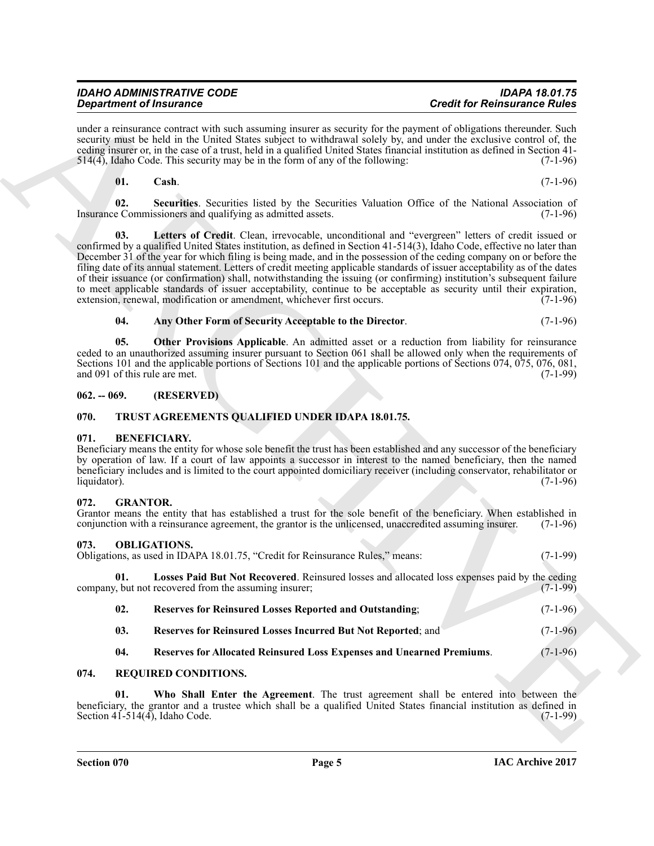under a reinsurance contract with such assuming insurer as security for the payment of obligations thereunder. Such security must be held in the United States subject to withdrawal solely by, and under the exclusive control of, the ceding insurer or, in the case of a trust, held in a qualified United States financial institution as defined in Section 41- 514(4), Idaho Code. This security may be in the form of any of the following: (7-1-96)

<span id="page-4-17"></span><span id="page-4-15"></span><span id="page-4-14"></span>**01. Cash**. (7-1-96)

**02.** Securities. Securities listed by the Securities Valuation Office of the National Association of e Commissioners and qualifying as admitted assets. (7-1-96) Insurance Commissioners and qualifying as admitted assets.

Graduation of Financesco Chinachi and Southern and Southern Chinachi and Southern Relations (2) and Southern Chinachi and Southern and Southern and Southern and Southern and Southern and Southern and Southern and Southern **03. Letters of Credit**. Clean, irrevocable, unconditional and "evergreen" letters of credit issued or confirmed by a qualified United States institution, as defined in Section 41-514(3), Idaho Code, effective no later than December 31 of the year for which filing is being made, and in the possession of the ceding company on or before the filing date of its annual statement. Letters of credit meeting applicable standards of issuer acceptability as of the dates of their issuance (or confirmation) shall, notwithstanding the issuing (or confirming) institution's subsequent failure to meet applicable standards of issuer acceptability, continue to be acceptable as security until their expiration, extension, renewal, modification or amendment, whichever first occurs. (7-1-96) extension, renewal, modification or amendment, whichever first occurs.

#### <span id="page-4-16"></span><span id="page-4-13"></span>**04. Any Other Form of Security Acceptable to the Director**. (7-1-96)

**05. Other Provisions Applicable**. An admitted asset or a reduction from liability for reinsurance ceded to an unauthorized assuming insurer pursuant to Section 061 shall be allowed only when the requirements of Sections 101 and the applicable portions of Sections 101 and the applicable portions of Sections 074, 075, 076, 081, and 091 of this rule are met.

#### <span id="page-4-0"></span>**062. -- 069. (RESERVED)**

#### <span id="page-4-20"></span><span id="page-4-1"></span>**070. TRUST AGREEMENTS QUALIFIED UNDER IDAPA 18.01.75.**

#### <span id="page-4-6"></span><span id="page-4-2"></span>**071. BENEFICIARY.**

Beneficiary means the entity for whose sole benefit the trust has been established and any successor of the beneficiary by operation of law. If a court of law appoints a successor in interest to the named beneficiary, then the named beneficiary includes and is limited to the court appointed domiciliary receiver (including conservator, rehabilitator or liquidator). (7-1-96)  $\mu$ liquidator). (7-1-96)

#### <span id="page-4-7"></span><span id="page-4-3"></span>**072. GRANTOR.**

Grantor means the entity that has established a trust for the sole benefit of the beneficiary. When established in conjunction with a reinsurance agreement, the grantor is the unlicensed, unaccredited assuming insurer. (7conjunction with a reinsurance agreement, the grantor is the unlicensed, unaccredited assuming insurer.

#### <span id="page-4-8"></span><span id="page-4-4"></span>**073. OBLIGATIONS.**

Obligations, as used in IDAPA 18.01.75, "Credit for Reinsurance Rules," means: (7-1-99)

**01.** Losses Paid But Not Recovered. Reinsured losses and allocated loss expenses paid by the ceding  $\alpha$ , but not recovered from the assuming insurer; company, but not recovered from the assuming insurer;

<span id="page-4-12"></span><span id="page-4-9"></span>

| 02. | <b>Reserves for Reinsured Losses Reported and Outstanding;</b> | $(7-1-96)$ |
|-----|----------------------------------------------------------------|------------|
|     |                                                                |            |

- <span id="page-4-11"></span>**03. Reserves for Reinsured Losses Incurred But Not Reported**; and (7-1-96)
- <span id="page-4-19"></span><span id="page-4-18"></span><span id="page-4-10"></span>**04. Reserves for Allocated Reinsured Loss Expenses and Unearned Premiums**. (7-1-96)

#### <span id="page-4-5"></span>**074. REQUIRED CONDITIONS.**

**01. Who Shall Enter the Agreement**. The trust agreement shall be entered into between the beneficiary, the grantor and a trustee which shall be a qualified United States financial institution as defined in Section 41-514(4), Idaho Code. (7-1-99) Section  $41-514(4)$ , Idaho Code.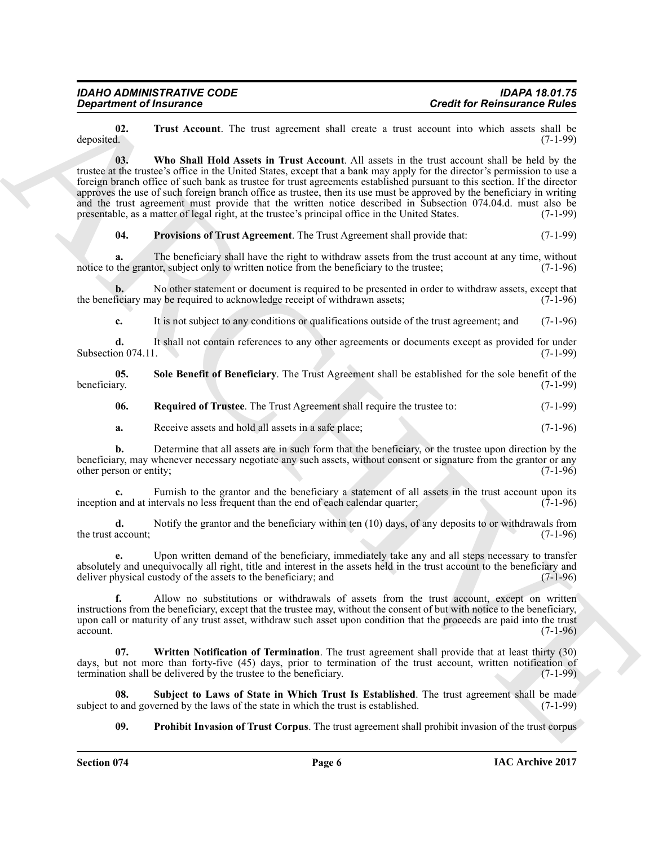<span id="page-5-6"></span><span id="page-5-5"></span>**02.** Trust Account. The trust agreement shall create a trust account into which assets shall be deposited. (7-1-99) deposited. (7-1-99)

**Creativity of Francoise**<br> **Creativity of Francoise Construction** ( $\frac{1}{2}$  and  $\frac{1}{2}$  and  $\frac{1}{2}$  and  $\frac{1}{2}$  and  $\frac{1}{2}$  and  $\frac{1}{2}$  and  $\frac{1}{2}$  and  $\frac{1}{2}$  and  $\frac{1}{2}$  and  $\frac{1}{2}$  and  $\frac{1}{2}$  and **03. Who Shall Hold Assets in Trust Account**. All assets in the trust account shall be held by the trustee at the trustee's office in the United States, except that a bank may apply for the director's permission to use a foreign branch office of such bank as trustee for trust agreements established pursuant to this section. If the director approves the use of such foreign branch office as trustee, then its use must be approved by the beneficiary in writing and the trust agreement must provide that the written notice described in Subsection 074.04.d. must also be presentable, as a matter of legal right, at the trustee's principal office in the United States.  $(7-1-99)$ presentable, as a matter of legal right, at the trustee's principal office in the United States.

<span id="page-5-1"></span>**04. Provisions of Trust Agreement**. The Trust Agreement shall provide that: (7-1-99)

**a.** The beneficiary shall have the right to withdraw assets from the trust account at any time, without the grantor, subject only to written notice from the beneficiary to the trustee; (7-1-96) notice to the grantor, subject only to written notice from the beneficiary to the trustee;

**b.** No other statement or document is required to be presented in order to withdraw assets, except that ficiary may be required to acknowledge receipt of withdrawn assets; (7-1-96) the beneficiary may be required to acknowledge receipt of withdrawn assets;

<span id="page-5-3"></span>**c.** It is not subject to any conditions or qualifications outside of the trust agreement; and (7-1-96)

**d.** It shall not contain references to any other agreements or documents except as provided for under on 074.11. Subsection 074.11.

**05.** Sole Benefit of Beneficiary. The Trust Agreement shall be established for the sole benefit of the beneficiary. (7-1-99) beneficiary. (7-1-99)

<span id="page-5-2"></span>**06.** Required of Trustee. The Trust Agreement shall require the trustee to:  $(7-1-99)$ 

**a.** Receive assets and hold all assets in a safe place; (7-1-96)

**b.** Determine that all assets are in such form that the beneficiary, or the trustee upon direction by the beneficiary, may whenever necessary negotiate any such assets, without consent or signature from the grantor or any other person or entity; (7-1-96) other person or entity;

**c.** Furnish to the grantor and the beneficiary a statement of all assets in the trust account upon its and at intervals no less frequent than the end of each calendar quarter: (7-1-96) inception and at intervals no less frequent than the end of each calendar quarter;

**d.** Notify the grantor and the beneficiary within ten (10) days, of any deposits to or withdrawals from the trust account;  $(7-1-96)$ 

**e.** Upon written demand of the beneficiary, immediately take any and all steps necessary to transfer absolutely and unequivocally all right, title and interest in the assets held in the trust account to the beneficiary and deliver physical custody of the assets to the beneficiary; and (7-1-96)

**f.** Allow no substitutions or withdrawals of assets from the trust account, except on written instructions from the beneficiary, except that the trustee may, without the consent of but with notice to the beneficiary, upon call or maturity of any trust asset, withdraw such asset upon condition that the proceeds are paid into the trust  $\alpha$  account. (7-1-96)

<span id="page-5-7"></span>**07. Written Notification of Termination**. The trust agreement shall provide that at least thirty (30) days, but not more than forty-five (45) days, prior to termination of the trust account, written notification of termination shall be delivered by the trustee to the beneficiary. (7-1-99)

**08.** Subject to Laws of State in Which Trust Is Established. The trust agreement shall be made of and governed by the laws of the state in which the trust is established. (7-1-99) subject to and governed by the laws of the state in which the trust is established.

<span id="page-5-4"></span><span id="page-5-0"></span>**09. Prohibit Invasion of Trust Corpus**. The trust agreement shall prohibit invasion of the trust corpus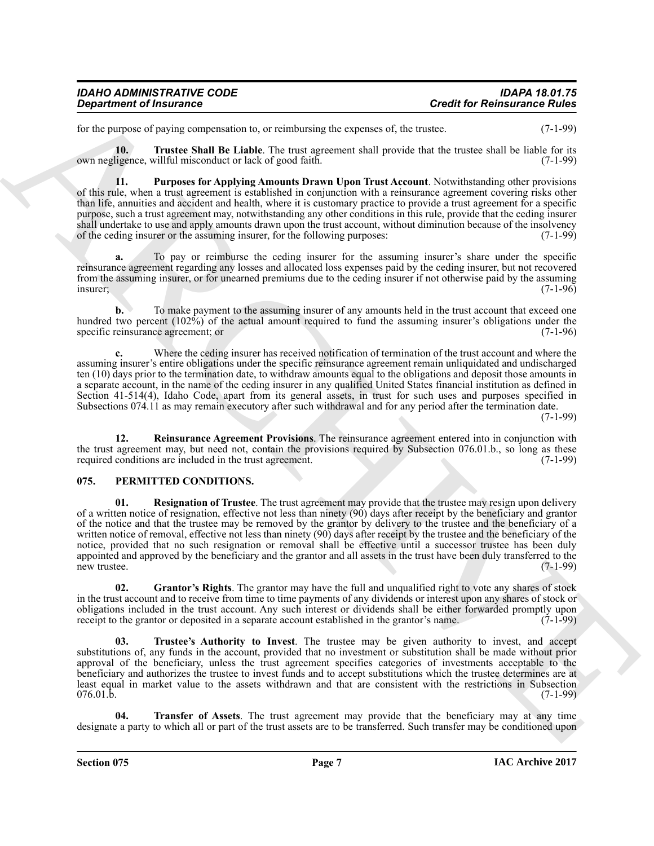| <b>IDAHO ADMINISTRATIVE CODE</b> | <b>IDAPA 18.01.75</b>               |
|----------------------------------|-------------------------------------|
| <b>Department of Insurance</b>   | <b>Credit for Reinsurance Rules</b> |

<span id="page-6-8"></span>for the purpose of paying compensation to, or reimbursing the expenses of, the trustee. (7-1-99)

**10. Trustee Shall Be Liable**. The trust agreement shall provide that the trustee shall be liable for its own negligence, willful misconduct or lack of good faith. (7-1-99)

<span id="page-6-6"></span>**11. Purposes for Applying Amounts Drawn Upon Trust Account**. Notwithstanding other provisions of this rule, when a trust agreement is established in conjunction with a reinsurance agreement covering risks other than life, annuities and accident and health, where it is customary practice to provide a trust agreement for a specific purpose, such a trust agreement may, notwithstanding any other conditions in this rule, provide that the ceding insurer shall undertake to use and apply amounts drawn upon the trust account, without diminution because of the insolvency<br>of the ceding insurer or the assuming insurer, for the following purposes: (7-1-99) of the ceding insurer or the assuming insurer, for the following purposes:

**a.** To pay or reimburse the ceding insurer for the assuming insurer's share under the specific reinsurance agreement regarding any losses and allocated loss expenses paid by the ceding insurer, but not recovered from the assuming insurer, or for unearned premiums due to the ceding insurer if not otherwise paid by the assuming insurer: (7-1-96) insurer; (7-1-96)

**b.** To make payment to the assuming insurer of any amounts held in the trust account that exceed one hundred two percent (102%) of the actual amount required to fund the assuming insurer's obligations under the specific reinsurance agreement: or (7-1-96) specific reinsurance agreement; or

**c.** Where the ceding insurer has received notification of termination of the trust account and where the assuming insurer's entire obligations under the specific reinsurance agreement remain unliquidated and undischarged ten (10) days prior to the termination date, to withdraw amounts equal to the obligations and deposit those amounts in a separate account, in the name of the ceding insurer in any qualified United States financial institution as defined in Section 41-514(4), Idaho Code, apart from its general assets, in trust for such uses and purposes specified in Subsections 074.11 as may remain executory after such withdrawal and for any period after the termination date.

(7-1-99)

<span id="page-6-7"></span>**12. Reinsurance Agreement Provisions**. The reinsurance agreement entered into in conjunction with the trust agreement may, but need not, contain the provisions required by Subsection 076.01.b., so long as these required conditions are included in the trust agreement.  $(7-1-99)$ required conditions are included in the trust agreement.

#### <span id="page-6-3"></span><span id="page-6-1"></span><span id="page-6-0"></span>**075. PERMITTED CONDITIONS.**

**Creative of fractraces**<br>
Creative of the control of the control of the creative of the creative of the basis of the Polymarine Children<br>
Like particular the control of the control of the control of the control of the con **01. Resignation of Trustee**. The trust agreement may provide that the trustee may resign upon delivery of a written notice of resignation, effective not less than ninety (90) days after receipt by the beneficiary and grantor of the notice and that the trustee may be removed by the grantor by delivery to the trustee and the beneficiary of a written notice of removal, effective not less than ninety (90) days after receipt by the trustee and the beneficiary of the notice, provided that no such resignation or removal shall be effective until a successor trustee has been duly appointed and approved by the beneficiary and the grantor and all assets in the trust have been duly transferred to the new trustee. (7-1-99) new trustee. (7-1-99)

<span id="page-6-2"></span>**02. Grantor's Rights**. The grantor may have the full and unqualified right to vote any shares of stock in the trust account and to receive from time to time payments of any dividends or interest upon any shares of stock or obligations included in the trust account. Any such interest or dividends shall be either forwarded promptly upon receipt to the grantor or deposited in a separate account established in the grantor's name. (7-1-99) receipt to the grantor or deposited in a separate account established in the grantor's name.

<span id="page-6-5"></span>**03. Trustee's Authority to Invest**. The trustee may be given authority to invest, and accept substitutions of, any funds in the account, provided that no investment or substitution shall be made without prior approval of the beneficiary, unless the trust agreement specifies categories of investments acceptable to the beneficiary and authorizes the trustee to invest funds and to accept substitutions which the trustee determines are at least equal in market value to the assets withdrawn and that are consistent with the restrictions in Subsection  $076.01.b.$  (7-1-99)

<span id="page-6-4"></span>**04. Transfer of Assets**. The trust agreement may provide that the beneficiary may at any time designate a party to which all or part of the trust assets are to be transferred. Such transfer may be conditioned upon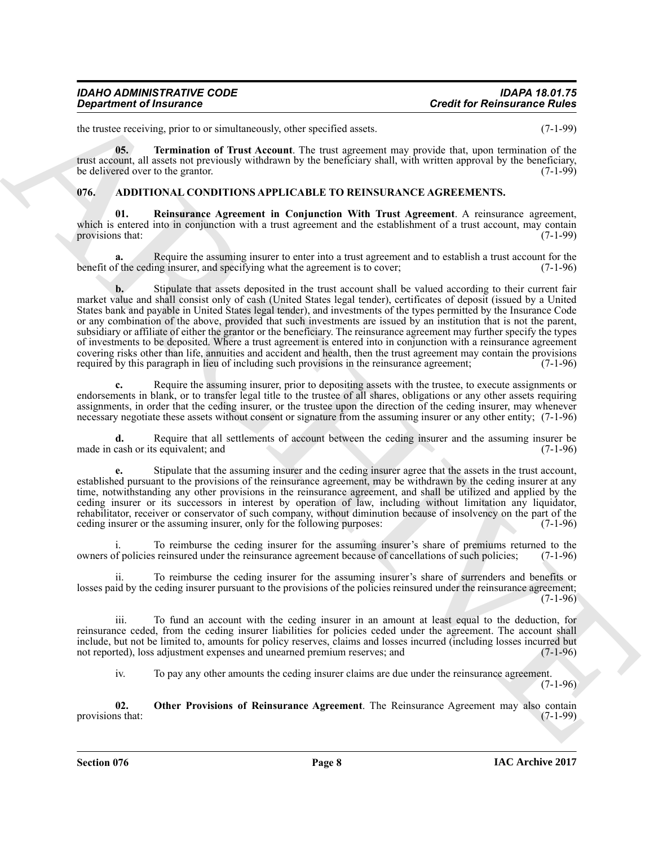| IDAHO ADMINISTRATIVE CODE             |  |
|---------------------------------------|--|
| <i><b>Department of Insurance</b></i> |  |

<span id="page-7-4"></span>the trustee receiving, prior to or simultaneously, other specified assets. (7-1-99)

**05. Termination of Trust Account**. The trust agreement may provide that, upon termination of the trust account, all assets not previously withdrawn by the beneficiary shall, with written approval by the beneficiary, be delivered over to the grantor.  $(7-1-99)$ 

#### <span id="page-7-1"></span><span id="page-7-0"></span>**076. ADDITIONAL CONDITIONS APPLICABLE TO REINSURANCE AGREEMENTS.**

<span id="page-7-3"></span>**01. Reinsurance Agreement in Conjunction With Trust Agreement**. A reinsurance agreement, which is entered into in conjunction with a trust agreement and the establishment of a trust account, may contain provisions that: (7-1-99) provisions that:

**a.** Require the assuming insurer to enter into a trust agreement and to establish a trust account for the function of the ceding insurer, and specifying what the agreement is to cover: benefit of the ceding insurer, and specifying what the agreement is to cover;

Great time of fractions of the system of the system of the period state. Could for Reimannics Nulles<br>the theoretical intermediation of the system of the period state.<br>
The system of the system of the system of the system **b.** Stipulate that assets deposited in the trust account shall be valued according to their current fair market value and shall consist only of cash (United States legal tender), certificates of deposit (issued by a United States bank and payable in United States legal tender), and investments of the types permitted by the Insurance Code or any combination of the above, provided that such investments are issued by an institution that is not the parent, subsidiary or affiliate of either the grantor or the beneficiary. The reinsurance agreement may further specify the types of investments to be deposited. Where a trust agreement is entered into in conjunction with a reinsurance agreement covering risks other than life, annuities and accident and health, then the trust agreement may contain the provisions required by this paragraph in lieu of including such provisions in the reinsurance agreement; (7-1-96) required by this paragraph in lieu of including such provisions in the reinsurance agreement;

**c.** Require the assuming insurer, prior to depositing assets with the trustee, to execute assignments or endorsements in blank, or to transfer legal title to the trustee of all shares, obligations or any other assets requiring assignments, in order that the ceding insurer, or the trustee upon the direction of the ceding insurer, may whenever necessary negotiate these assets without consent or signature from the assuming insurer or any other entity; (7-1-96)

**d.** Require that all settlements of account between the ceding insurer and the assuming insurer be cash or its equivalent: and (7-1-96) made in cash or its equivalent; and

**e.** Stipulate that the assuming insurer and the ceding insurer agree that the assets in the trust account, established pursuant to the provisions of the reinsurance agreement, may be withdrawn by the ceding insurer at any time, notwithstanding any other provisions in the reinsurance agreement, and shall be utilized and applied by the ceding insurer or its successors in interest by operation of law, including without limitation any liquidator, rehabilitator, receiver or conservator of such company, without diminution because of insolvency on the part of the ceding insurer or the assuming insurer, only for the following purposes: (7-1-96) ceding insurer or the assuming insurer, only for the following purposes:

To reimburse the ceding insurer for the assuming insurer's share of premiums returned to the reinsured under the reinsurance agreement because of cancellations of such policies: (7-1-96) owners of policies reinsured under the reinsurance agreement because of cancellations of such policies; (7-1-96)

To reimburse the ceding insurer for the assuming insurer's share of surrenders and benefits or losses paid by the ceding insurer pursuant to the provisions of the policies reinsured under the reinsurance agreement;  $(7-1-96)$ 

iii. To fund an account with the ceding insurer in an amount at least equal to the deduction, for reinsurance ceded, from the ceding insurer liabilities for policies ceded under the agreement. The account shall include, but not be limited to, amounts for policy reserves, claims and losses incurred (including losses incurred but not reported), loss adjustment expenses and unearned premium reserves; and

<span id="page-7-2"></span>iv. To pay any other amounts the ceding insurer claims are due under the reinsurance agreement.

(7-1-96)

**02. Other Provisions of Reinsurance Agreement**. The Reinsurance Agreement may also contain is that: (7-1-99) provisions that:

**Section 076 Page 8**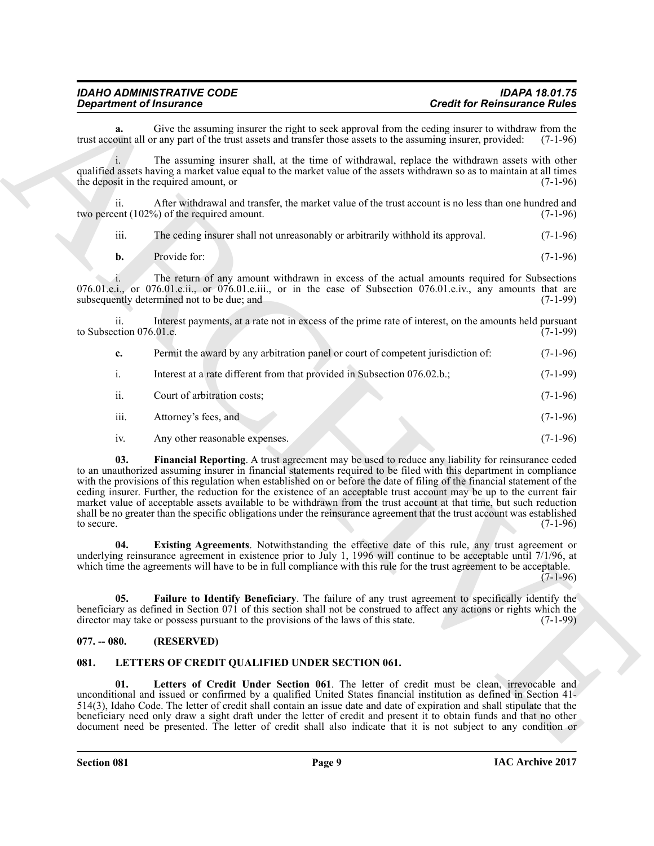| <b>IDAHO ADMINISTRATIVE CODE</b> | <b>IDAPA 18.01.75</b>               |
|----------------------------------|-------------------------------------|
| <b>Department of Insurance</b>   | <b>Credit for Reinsurance Rules</b> |

**a.** Give the assuming insurer the right to seek approval from the ceding insurer to withdraw from the point all or any part of the trust assets and transfer those assets to the assuming insurer, provided: (7-1-96) trust account all or any part of the trust assets and transfer those assets to the assuming insurer, provided:

i. The assuming insurer shall, at the time of withdrawal, replace the withdrawn assets with other qualified assets having a market value equal to the market value of the assets withdrawn so as to maintain at all times the deposit in the required amount, or the deposit in the required amount, or

ii. After withdrawal and transfer, the market value of the trust account is no less than one hundred and ent  $(102\%)$  of the required amount. two percent  $(102%)$  of the required amount.

iii. The ceding insurer shall not unreasonably or arbitrarily withhold its approval. (7-1-96)

**b.** Provide for:  $(7-1-96)$ 

i. The return of any amount withdrawn in excess of the actual amounts required for Subsections 076.01.e.i., or 076.01.e.ii., or 076.01.e.iii., or in the case of Subsection 076.01.e.iv., any amounts that are subsequently determined not to be due: and  $(7-1-99)$ subsequently determined not to be due; and

ii. Interest payments, at a rate not in excess of the prime rate of interest, on the amounts held pursuant ction 076.01.e. to Subsection 076.01.e.

| c.  | Permit the award by any arbitration panel or court of competent jurisdiction of: | $(7-1-96)$ |
|-----|----------------------------------------------------------------------------------|------------|
|     | Interest at a rate different from that provided in Subsection 076.02.b.;         | $(7-1-99)$ |
| ii. | Court of arbitration costs;                                                      | $(7-1-96)$ |

- iii. Attorney's fees, and (7-1-96)
- <span id="page-8-4"></span>iv. Any other reasonable expenses. (7-1-96)

**Considerable of Francesco Construction** Consider the spherical Consider Relationship is the spherical Construction of the spherical Construction of the spherical Construction Construction Construction Construction Constr **03. Financial Reporting**. A trust agreement may be used to reduce any liability for reinsurance ceded to an unauthorized assuming insurer in financial statements required to be filed with this department in compliance with the provisions of this regulation when established on or before the date of filing of the financial statement of the ceding insurer. Further, the reduction for the existence of an acceptable trust account may be up to the current fair market value of acceptable assets available to be withdrawn from the trust account at that time, but such reduction shall be no greater than the specific obligations under the reinsurance agreement that the trust account was established to secure. (7-1-96) to secure.  $(7-1-96)$ 

<span id="page-8-2"></span>**04. Existing Agreements**. Notwithstanding the effective date of this rule, any trust agreement or underlying reinsurance agreement in existence prior to July 1, 1996 will continue to be acceptable until 7/1/96, at which time the agreements will have to be in full compliance with this rule for the trust agreement to be acceptable. (7-1-96)

<span id="page-8-3"></span>**05. Failure to Identify Beneficiary**. The failure of any trust agreement to specifically identify the beneficiary as defined in Section 071 of this section shall not be construed to affect any actions or rights which the director may take or possess pursuant to the provisions of the laws of this state. (7-1-99) director may take or possess pursuant to the provisions of the laws of this state.

#### <span id="page-8-0"></span>**077. -- 080. (RESERVED)**

#### <span id="page-8-5"></span><span id="page-8-1"></span>**081. LETTERS OF CREDIT QUALIFIED UNDER SECTION 061.**

<span id="page-8-6"></span>**01. Letters of Credit Under Section 061**. The letter of credit must be clean, irrevocable and unconditional and issued or confirmed by a qualified United States financial institution as defined in Section 41- 514(3), Idaho Code. The letter of credit shall contain an issue date and date of expiration and shall stipulate that the beneficiary need only draw a sight draft under the letter of credit and present it to obtain funds and that no other document need be presented. The letter of credit shall also indicate that it is not subject to any condition or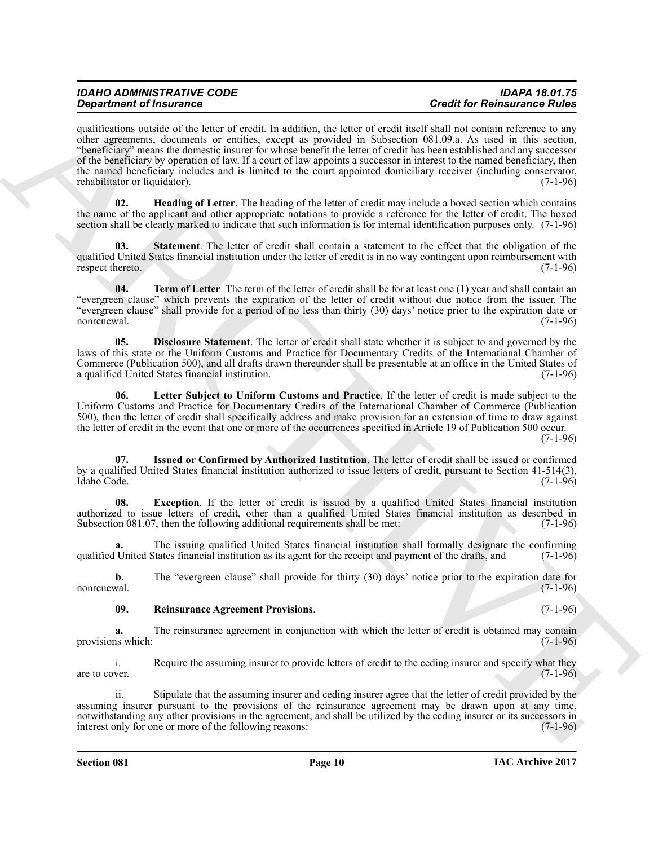# *IDAHO ADMINISTRATIVE CODE IDAPA 18.01.75*

**Operation of Francesco Constraints** the later of each state. Consider the base of the Reinwich Construction of the Reinwich Construction of the Reinwich Construction of the Reinwich Construction of the Construction of th qualifications outside of the letter of credit. In addition, the letter of credit itself shall not contain reference to any other agreements, documents or entities, except as provided in Subsection 081.09.a. As used in this section, "beneficiary" means the domestic insurer for whose benefit the letter of credit has been established and any successor of the beneficiary by operation of law. If a court of law appoints a successor in interest to the named beneficiary, then the named beneficiary includes and is limited to the court appointed domiciliary receiver (including conservator, rehabilitator or liquidator). (7-1-96) rehabilitator or liquidator).

<span id="page-9-2"></span>**02. Heading of Letter**. The heading of the letter of credit may include a boxed section which contains the name of the applicant and other appropriate notations to provide a reference for the letter of credit. The boxed section shall be clearly marked to indicate that such information is for internal identification purposes only. (7-1-96)

<span id="page-9-6"></span>**03. Statement**. The letter of credit shall contain a statement to the effect that the obligation of the qualified United States financial institution under the letter of credit is in no way contingent upon reimbursement with respect thereto. (7-1-96) respect thereto.

<span id="page-9-7"></span>**04. Term of Letter**. The term of the letter of credit shall be for at least one (1) year and shall contain an "evergreen clause" which prevents the expiration of the letter of credit without due notice from the issuer. The "evergreen clause" shall provide for a period of no less than thirty (30) days' notice prior to the expiration date or nonrenewal. (7-1-96)

<span id="page-9-0"></span>**05. Disclosure Statement**. The letter of credit shall state whether it is subject to and governed by the laws of this state or the Uniform Customs and Practice for Documentary Credits of the International Chamber of Commerce (Publication 500), and all drafts drawn thereunder shall be presentable at an office in the United States of a qualified United States financial institution. (7-1-96)

<span id="page-9-4"></span>**06. Letter Subject to Uniform Customs and Practice**. If the letter of credit is made subject to the Uniform Customs and Practice for Documentary Credits of the International Chamber of Commerce (Publication 500), then the letter of credit shall specifically address and make provision for an extension of time to draw against the letter of credit in the event that one or more of the occurrences specified in Article 19 of Publication 500 occur.

 $(7-1-96)$ 

<span id="page-9-3"></span>**07. Issued or Confirmed by Authorized Institution**. The letter of credit shall be issued or confirmed by a qualified United States financial institution authorized to issue letters of credit, pursuant to Section 41-514(3), Idaho Code. (7-1-96)

<span id="page-9-1"></span>**08. Exception**. If the letter of credit is issued by a qualified United States financial institution authorized to issue letters of credit, other than a qualified United States financial institution as described in Subsection 081.07, then the following additional requirements shall be met: (7-1-96)

The issuing qualified United States financial institution shall formally designate the confirming that the states financial institution as its agent for the receipt and payment of the drafts, and (7-1-96) qualified United States financial institution as its agent for the receipt and payment of the drafts, and

**b.** The "evergreen clause" shall provide for thirty (30) days' notice prior to the expiration date for nonrenewal. (7-1-96) nonrenewal. (7-1-96)

#### <span id="page-9-5"></span>**09. Reinsurance Agreement Provisions**. (7-1-96)

**a.** The reinsurance agreement in conjunction with which the letter of credit is obtained may contain is which: (7-1-96) provisions which:

i. Require the assuming insurer to provide letters of credit to the ceding insurer and specify what they are to cover.  $(7-1-96)$ 

ii. Stipulate that the assuming insurer and ceding insurer agree that the letter of credit provided by the assuming insurer pursuant to the provisions of the reinsurance agreement may be drawn upon at any time, notwithstanding any other provisions in the agreement, and shall be utilized by the ceding insurer or its successors in interest only for one or more of the following reasons: (7-1-96) interest only for one or more of the following reasons: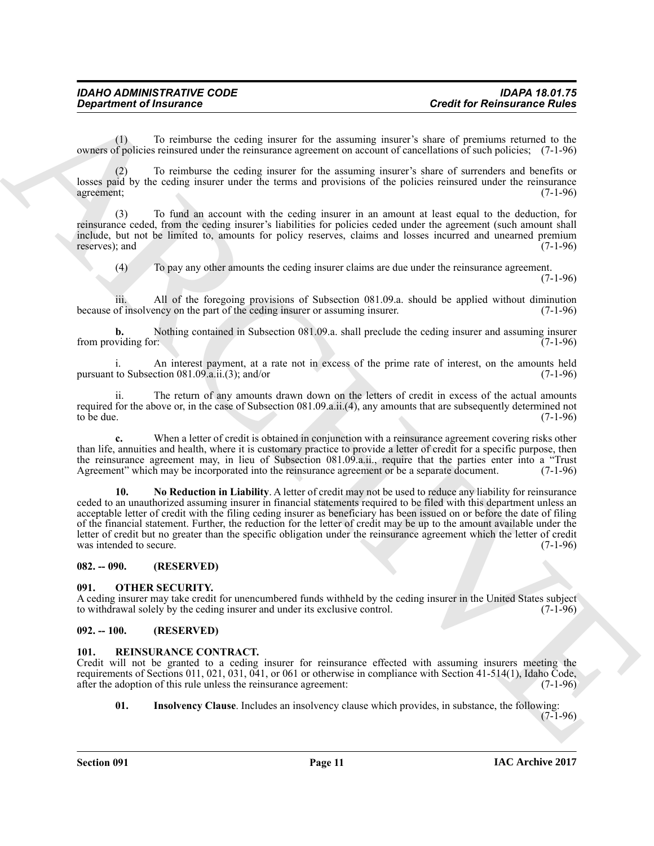(1) To reimburse the ceding insurer for the assuming insurer's share of premiums returned to the owners of policies reinsured under the reinsurance agreement on account of cancellations of such policies; (7-1-96)

(2) To reimburse the ceding insurer for the assuming insurer's share of surrenders and benefits or losses paid by the ceding insurer under the terms and provisions of the policies reinsured under the reinsurance agreement; (7-1-96) agreement; (7-1-96)

(3) To fund an account with the ceding insurer in an amount at least equal to the deduction, for reinsurance ceded, from the ceding insurer's liabilities for policies ceded under the agreement (such amount shall include, but not be limited to, amounts for policy reserves, claims and losses incurred and unearned premium reserves); and

(4) To pay any other amounts the ceding insurer claims are due under the reinsurance agreement. (7-1-96)

iii. All of the foregoing provisions of Subsection 081.09.a. should be applied without diminution of insolvency on the part of the ceding insurer or assuming insurer.  $(7-1-96)$ because of insolvency on the part of the ceding insurer or assuming insurer.

**b.** Nothing contained in Subsection 081.09.a. shall preclude the ceding insurer and assuming insurer viding for: (7-1-96) from providing for:

i. An interest payment, at a rate not in excess of the prime rate of interest, on the amounts held to Subsection  $081.09.a.i.(3)$ ; and/or pursuant to Subsection  $081.09.a.ii.(3)$ ; and/or

ii. The return of any amounts drawn down on the letters of credit in excess of the actual amounts required for the above or, in the case of Subsection 081.09.a.ii.(4), any amounts that are subsequently determined not to be due. (7-1-96) to be due.  $(7-1-96)$ 

<span id="page-10-4"></span>**c.** When a letter of credit is obtained in conjunction with a reinsurance agreement covering risks other than life, annuities and health, where it is customary practice to provide a letter of credit for a specific purpose, then the reinsurance agreement may, in lieu of Subsection 081.09.a.ii., require that the parties enter into a "Trust<br>Agreement" which may be incorporated into the reinsurance agreement or be a separate document. (7-1-96) Agreement" which may be incorporated into the reinsurance agreement or be a separate document.

**Creativized of Insurance Constitution** and Evidence Exchange interest a share of procedures and the secondary and the secondary and the secondary and the secondary and the secondary and the secondary and the secondary an **10. No Reduction in Liability**. A letter of credit may not be used to reduce any liability for reinsurance ceded to an unauthorized assuming insurer in financial statements required to be filed with this department unless an acceptable letter of credit with the filing ceding insurer as beneficiary has been issued on or before the date of filing of the financial statement. Further, the reduction for the letter of credit may be up to the amount available under the letter of credit but no greater than the specific obligation under the reinsurance agreement which the letter of credit was intended to secure. (7-1-96)

<span id="page-10-0"></span>**082. -- 090. (RESERVED)**

#### <span id="page-10-5"></span><span id="page-10-1"></span>**091. OTHER SECURITY.**

A ceding insurer may take credit for unencumbered funds withheld by the ceding insurer in the United States subject<br>to withdrawal solely by the ceding insurer and under its exclusive control. (7-1-96) to withdrawal solely by the ceding insurer and under its exclusive control.

#### <span id="page-10-2"></span>**092. -- 100. (RESERVED)**

#### <span id="page-10-6"></span><span id="page-10-3"></span>**101. REINSURANCE CONTRACT.**

Credit will not be granted to a ceding insurer for reinsurance effected with assuming insurers meeting the requirements of Sections 011, 021, 031, 041, or 061 or otherwise in compliance with Section 41-514(1), Idaho Code, after the adoption of this rule unless the reinsurance agreement: (7-1-96) after the adoption of this rule unless the reinsurance agreement:

<span id="page-10-7"></span>**01. Insolvency Clause**. Includes an insolvency clause which provides, in substance, the following:

 $(7-1-96)$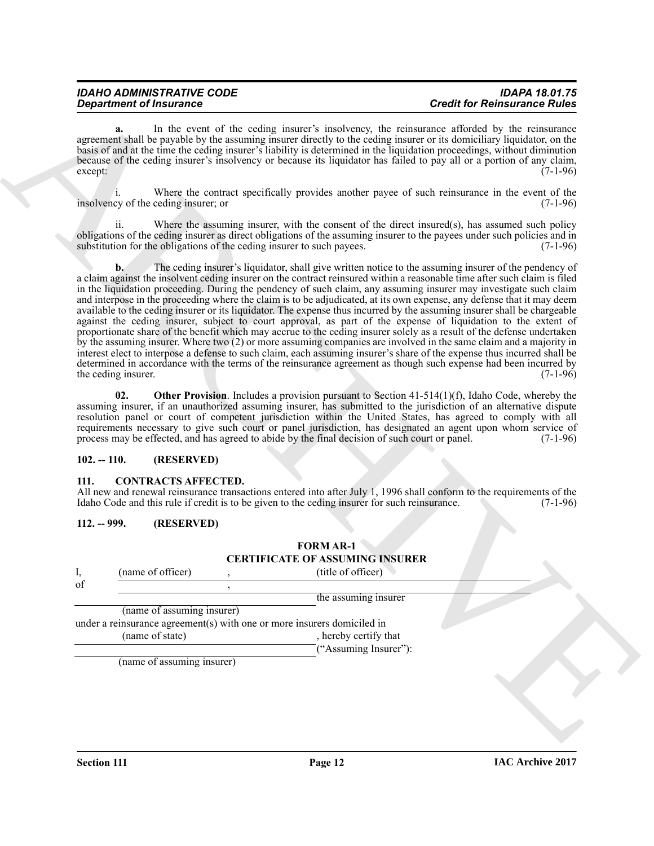| IDAHO ADMINISTRATIVE CODE      |
|--------------------------------|
| <b>Department of Insurance</b> |

**a.** In the event of the ceding insurer's insolvency, the reinsurance afforded by the reinsurance agreement shall be payable by the assuming insurer directly to the ceding insurer or its domiciliary liquidator, on the basis of and at the time the ceding insurer's liability is determined in the liquidation proceedings, without diminution because of the ceding insurer's insolvency or because its liquidator has failed to pay all or a portion of any claim, except:  $(7-1-96)$ 

i. Where the contract specifically provides another payee of such reinsurance in the event of the insolvency of the ceding insurer; or

Where the assuming insurer, with the consent of the direct insured(s), has assumed such policy obligations of the ceding insurer as direct obligations of the assuming insurer to the payees under such policies and in substitution for the obligations of the ceding insurer to such payees. (7-1-96) substitution for the obligations of the ceding insurer to such payees.

**Consideration** of the law over  $\approx 0.004$  of the system case of the reduction of the consideration of the system of the system of the system of the system of the system of the system of the system of the system of the sy **b.** The ceding insurer's liquidator, shall give written notice to the assuming insurer of the pendency of a claim against the insolvent ceding insurer on the contract reinsured within a reasonable time after such claim is filed in the liquidation proceeding. During the pendency of such claim, any assuming insurer may investigate such claim and interpose in the proceeding where the claim is to be adjudicated, at its own expense, any defense that it may deem available to the ceding insurer or its liquidator. The expense thus incurred by the assuming insurer shall be chargeable against the ceding insurer, subject to court approval, as part of the expense of liquidation to the extent of proportionate share of the benefit which may accrue to the ceding insurer solely as a result of the defense undertaken by the assuming insurer. Where two (2) or more assuming companies are involved in the same claim and a majority in interest elect to interpose a defense to such claim, each assuming insurer's share of the expense thus incurred shall be determined in accordance with the terms of the reinsurance agreement as though such expense had been incurred by the ceding insurer. (7-1-96)

<span id="page-11-5"></span>**02.** Other Provision. Includes a provision pursuant to Section 41-514(1)(f), Idaho Code, whereby the assuming insurer, if an unauthorized assuming insurer, has submitted to the jurisdiction of an alternative dispute resolution panel or court of competent jurisdiction within the United States, has agreed to comply with all requirements necessary to give such court or panel jurisdiction, has designated an agent upon whom service of process may be effected, and has agreed to abide by the final decision of such court or panel. (7-1-96)

#### <span id="page-11-0"></span>**102. -- 110. (RESERVED)**

#### <span id="page-11-3"></span><span id="page-11-1"></span>**111. CONTRACTS AFFECTED.**

All new and renewal reinsurance transactions entered into after July 1, 1996 shall conform to the requirements of the Idaho Code and this rule if credit is to be given to the ceding insurer for such reinsurance.  $(7-1-96)$ Idaho Code and this rule if credit is to be given to the ceding insurer for such reinsurance.

#### <span id="page-11-2"></span>**112. -- 999. (RESERVED)**

#### <span id="page-11-4"></span>**FORM AR-1 CERTIFICATE OF ASSUMING INSURER**

I, (name of officer) , (title of officer)  $\int$  , of  $\int$  ,  $\int$  ,  $\int$  ,  $\int$  ,  $\int$  ,  $\int$  ,  $\int$  ,  $\int$  ,  $\int$  ,  $\int$  ,  $\int$  ,  $\int$  ,  $\int$  ,  $\int$  ,  $\int$  ,  $\int$  ,  $\int$  ,  $\int$  ,  $\int$  ,  $\int$  ,  $\int$  ,  $\int$  ,  $\int$  ,  $\int$  ,  $\int$  ,  $\int$  ,  $\int$  ,  $\int$  ,  $\int$  ,  $\int$  , the assuming insurer (name of assuming insurer) under a reinsurance agreement(s) with one or more insurers domiciled in (name of state) hereby certify that ("Assuming Insurer"):

(name of assuming insurer)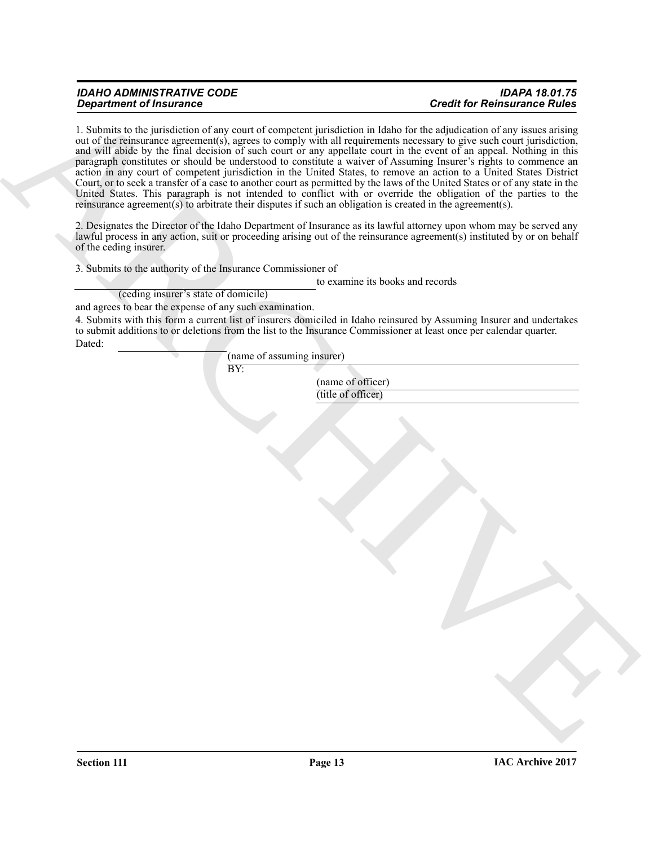# *IDAHO ADMINISTRATIVE CODE IDAPA 18.01.75*

## *Department of Insurance Credit for Reinsurance Rules*

**Experiment of The parameters** of the grant of computer junctified in Balach C-the affeliation in C-the and the Relation of the Schwartz and the state of the state of the state of the state of the state of the state of th 1. Submits to the jurisdiction of any court of competent jurisdiction in Idaho for the adjudication of any issues arising out of the reinsurance agreement(s), agrees to comply with all requirements necessary to give such court jurisdiction, and will abide by the final decision of such court or any appellate court in the event of an appeal. Nothing in this paragraph constitutes or should be understood to constitute a waiver of Assuming Insurer's rights to commence an action in any court of competent jurisdiction in the United States, to remove an action to a United States District Court, or to seek a transfer of a case to another court as permitted by the laws of the United States or of any state in the United States. This paragraph is not intended to conflict with or override the obligation of the parties to the reinsurance agreement(s) to arbitrate their disputes if such an obligation is created in the agreement(s).

2. Designates the Director of the Idaho Department of Insurance as its lawful attorney upon whom may be served any lawful process in any action, suit or proceeding arising out of the reinsurance agreement(s) instituted by or on behalf of the ceding insurer.

3. Submits to the authority of the Insurance Commissioner of

BY:

to examine its books and records

(ceding insurer's state of domicile)

and agrees to bear the expense of any such examination.

4. Submits with this form a current list of insurers domiciled in Idaho reinsured by Assuming Insurer and undertakes to submit additions to or deletions from the list to the Insurance Commissioner at least once per calendar quarter. Dated:

(name of assuming insurer)

(name of officer) (title of officer)